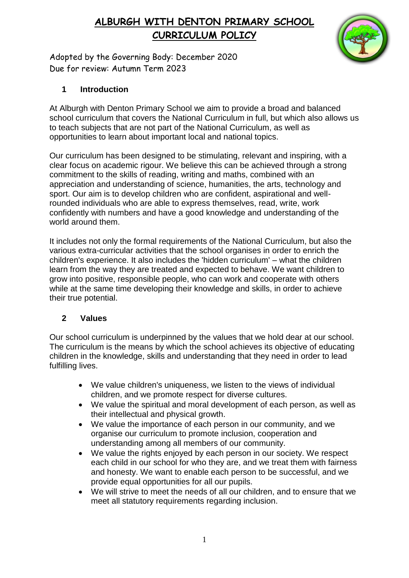

Adopted by the Governing Body: December 2020 Due for review: Autumn Term 2023

## **1 Introduction**

At Alburgh with Denton Primary School we aim to provide a broad and balanced school curriculum that covers the National Curriculum in full, but which also allows us to teach subjects that are not part of the National Curriculum, as well as opportunities to learn about important local and national topics.

Our curriculum has been designed to be stimulating, relevant and inspiring, with a clear focus on academic rigour. We believe this can be achieved through a strong commitment to the skills of reading, writing and maths, combined with an appreciation and understanding of science, humanities, the arts, technology and sport. Our aim is to develop children who are confident, aspirational and wellrounded individuals who are able to express themselves, read, write, work confidently with numbers and have a good knowledge and understanding of the world around them.

It includes not only the formal requirements of the National Curriculum, but also the various extra-curricular activities that the school organises in order to enrich the children's experience. It also includes the 'hidden curriculum' – what the children learn from the way they are treated and expected to behave. We want children to grow into positive, responsible people, who can work and cooperate with others while at the same time developing their knowledge and skills, in order to achieve their true potential.

## **2 Values**

Our school curriculum is underpinned by the values that we hold dear at our school. The curriculum is the means by which the school achieves its objective of educating children in the knowledge, skills and understanding that they need in order to lead fulfilling lives.

- We value children's uniqueness, we listen to the views of individual children, and we promote respect for diverse cultures.
- We value the spiritual and moral development of each person, as well as their intellectual and physical growth.
- We value the importance of each person in our community, and we organise our curriculum to promote inclusion, cooperation and understanding among all members of our community.
- We value the rights enjoyed by each person in our society. We respect each child in our school for who they are, and we treat them with fairness and honesty. We want to enable each person to be successful, and we provide equal opportunities for all our pupils.
- We will strive to meet the needs of all our children, and to ensure that we meet all statutory requirements regarding inclusion.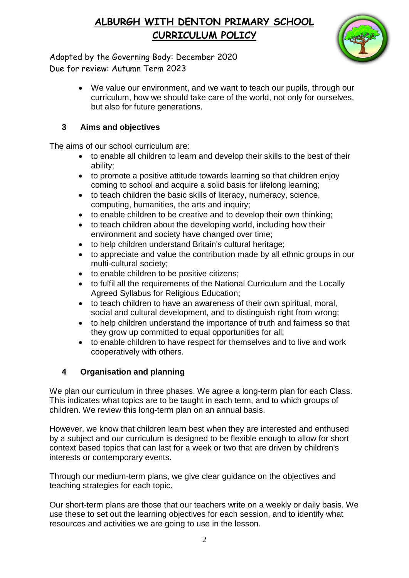

Adopted by the Governing Body: December 2020 Due for review: Autumn Term 2023

> We value our environment, and we want to teach our pupils, through our curriculum, how we should take care of the world, not only for ourselves, but also for future generations.

## **3 Aims and objectives**

The aims of our school curriculum are:

- to enable all children to learn and develop their skills to the best of their ability;
- to promote a positive attitude towards learning so that children enjoy coming to school and acquire a solid basis for lifelong learning;
- to teach children the basic skills of literacy, numeracy, science, computing, humanities, the arts and inquiry;
- to enable children to be creative and to develop their own thinking;
- to teach children about the developing world, including how their environment and society have changed over time;
- to help children understand Britain's cultural heritage;
- to appreciate and value the contribution made by all ethnic groups in our multi-cultural society;
- to enable children to be positive citizens;
- to fulfil all the requirements of the National Curriculum and the Locally Agreed Syllabus for Religious Education;
- to teach children to have an awareness of their own spiritual, moral, social and cultural development, and to distinguish right from wrong;
- to help children understand the importance of truth and fairness so that they grow up committed to equal opportunities for all;
- to enable children to have respect for themselves and to live and work cooperatively with others.

# **4 Organisation and planning**

We plan our curriculum in three phases. We agree a long-term plan for each Class. This indicates what topics are to be taught in each term, and to which groups of children. We review this long-term plan on an annual basis.

However, we know that children learn best when they are interested and enthused by a subject and our curriculum is designed to be flexible enough to allow for short context based topics that can last for a week or two that are driven by children's interests or contemporary events.

Through our medium-term plans, we give clear guidance on the objectives and teaching strategies for each topic.

Our short-term plans are those that our teachers write on a weekly or daily basis. We use these to set out the learning objectives for each session, and to identify what resources and activities we are going to use in the lesson.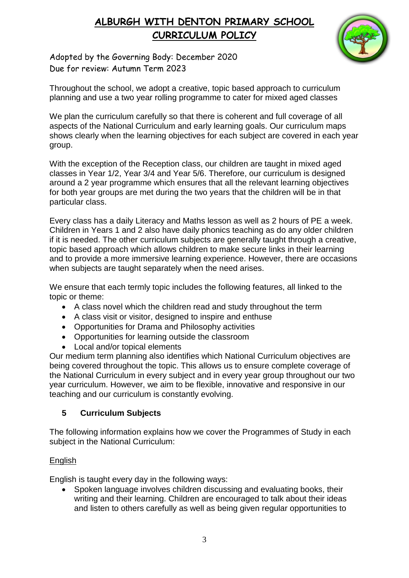

Adopted by the Governing Body: December 2020 Due for review: Autumn Term 2023

Throughout the school, we adopt a creative, topic based approach to curriculum planning and use a two year rolling programme to cater for mixed aged classes

We plan the curriculum carefully so that there is coherent and full coverage of all aspects of the National Curriculum and early learning goals. Our curriculum maps shows clearly when the learning objectives for each subject are covered in each year group.

With the exception of the Reception class, our children are taught in mixed aged classes in Year 1/2, Year 3/4 and Year 5/6. Therefore, our curriculum is designed around a 2 year programme which ensures that all the relevant learning objectives for both year groups are met during the two years that the children will be in that particular class.

Every class has a daily Literacy and Maths lesson as well as 2 hours of PE a week. Children in Years 1 and 2 also have daily phonics teaching as do any older children if it is needed. The other curriculum subjects are generally taught through a creative, topic based approach which allows children to make secure links in their learning and to provide a more immersive learning experience. However, there are occasions when subjects are taught separately when the need arises.

We ensure that each termly topic includes the following features, all linked to the topic or theme:

- A class novel which the children read and study throughout the term
- A class visit or visitor, designed to inspire and enthuse
- Opportunities for Drama and Philosophy activities
- Opportunities for learning outside the classroom
- Local and/or topical elements

Our medium term planning also identifies which National Curriculum objectives are being covered throughout the topic. This allows us to ensure complete coverage of the National Curriculum in every subject and in every year group throughout our two year curriculum. However, we aim to be flexible, innovative and responsive in our teaching and our curriculum is constantly evolving.

## **5 Curriculum Subjects**

The following information explains how we cover the Programmes of Study in each subject in the National Curriculum:

### English

English is taught every day in the following ways:

• Spoken language involves children discussing and evaluating books, their writing and their learning. Children are encouraged to talk about their ideas and listen to others carefully as well as being given regular opportunities to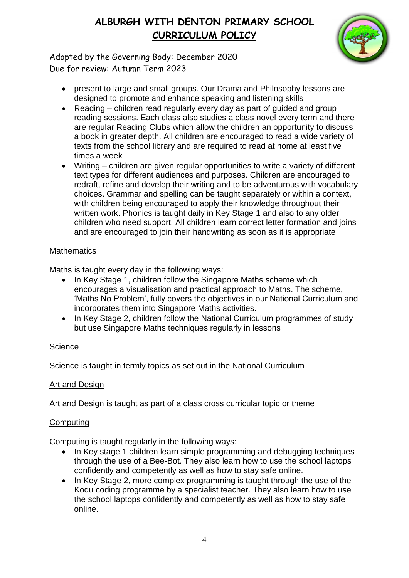

Adopted by the Governing Body: December 2020 Due for review: Autumn Term 2023

- present to large and small groups. Our Drama and Philosophy lessons are designed to promote and enhance speaking and listening skills
- Reading children read regularly every day as part of guided and group reading sessions. Each class also studies a class novel every term and there are regular Reading Clubs which allow the children an opportunity to discuss a book in greater depth. All children are encouraged to read a wide variety of texts from the school library and are required to read at home at least five times a week
- Writing children are given regular opportunities to write a variety of different text types for different audiences and purposes. Children are encouraged to redraft, refine and develop their writing and to be adventurous with vocabulary choices. Grammar and spelling can be taught separately or within a context, with children being encouraged to apply their knowledge throughout their written work. Phonics is taught daily in Key Stage 1 and also to any older children who need support. All children learn correct letter formation and joins and are encouraged to join their handwriting as soon as it is appropriate

### **Mathematics**

Maths is taught every day in the following ways:

- In Key Stage 1, children follow the Singapore Maths scheme which encourages a visualisation and practical approach to Maths. The scheme, 'Maths No Problem', fully covers the objectives in our National Curriculum and incorporates them into Singapore Maths activities.
- In Kev Stage 2, children follow the National Curriculum programmes of study but use Singapore Maths techniques regularly in lessons

### **Science**

Science is taught in termly topics as set out in the National Curriculum

### Art and Design

Art and Design is taught as part of a class cross curricular topic or theme

### **Computing**

Computing is taught regularly in the following ways:

- In Key stage 1 children learn simple programming and debugging techniques through the use of a Bee-Bot. They also learn how to use the school laptops confidently and competently as well as how to stay safe online.
- In Key Stage 2, more complex programming is taught through the use of the Kodu coding programme by a specialist teacher. They also learn how to use the school laptops confidently and competently as well as how to stay safe online.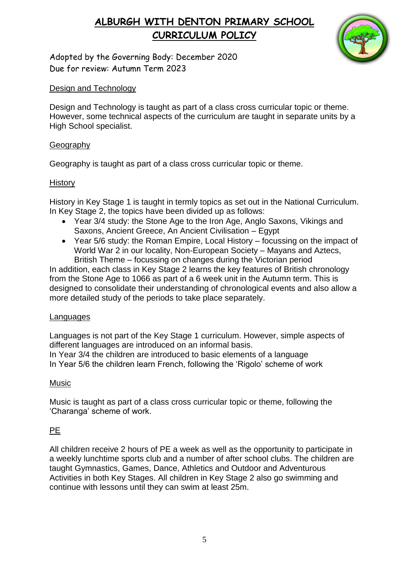

Adopted by the Governing Body: December 2020 Due for review: Autumn Term 2023

## Design and Technology

Design and Technology is taught as part of a class cross curricular topic or theme. However, some technical aspects of the curriculum are taught in separate units by a High School specialist.

## Geography

Geography is taught as part of a class cross curricular topic or theme.

## History

History in Key Stage 1 is taught in termly topics as set out in the National Curriculum. In Key Stage 2, the topics have been divided up as follows:

- Year 3/4 study: the Stone Age to the Iron Age, Anglo Saxons, Vikings and Saxons, Ancient Greece, An Ancient Civilisation – Egypt
- Year 5/6 study: the Roman Empire, Local History focussing on the impact of World War 2 in our locality, Non-European Society – Mayans and Aztecs, British Theme – focussing on changes during the Victorian period

In addition, each class in Key Stage 2 learns the key features of British chronology from the Stone Age to 1066 as part of a 6 week unit in the Autumn term. This is designed to consolidate their understanding of chronological events and also allow a more detailed study of the periods to take place separately.

### Languages

Languages is not part of the Key Stage 1 curriculum. However, simple aspects of different languages are introduced on an informal basis.

In Year 3/4 the children are introduced to basic elements of a language In Year 5/6 the children learn French, following the 'Rigolo' scheme of work

### Music

Music is taught as part of a class cross curricular topic or theme, following the 'Charanga' scheme of work.

## PE

All children receive 2 hours of PE a week as well as the opportunity to participate in a weekly lunchtime sports club and a number of after school clubs. The children are taught Gymnastics, Games, Dance, Athletics and Outdoor and Adventurous Activities in both Key Stages. All children in Key Stage 2 also go swimming and continue with lessons until they can swim at least 25m.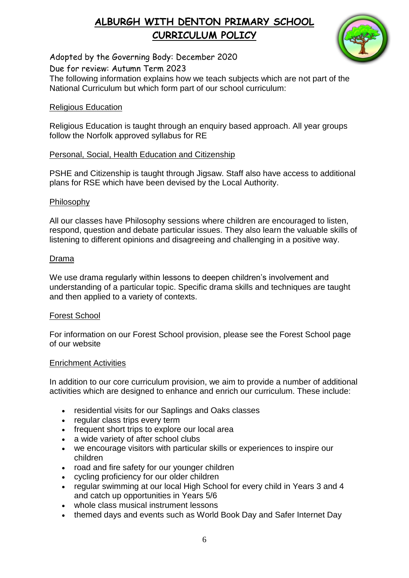

Adopted by the Governing Body: December 2020

Due for review: Autumn Term 2023

The following information explains how we teach subjects which are not part of the National Curriculum but which form part of our school curriculum:

#### Religious Education

Religious Education is taught through an enquiry based approach. All year groups follow the Norfolk approved syllabus for RE

#### Personal, Social, Health Education and Citizenship

PSHE and Citizenship is taught through Jigsaw. Staff also have access to additional plans for RSE which have been devised by the Local Authority.

#### Philosophy

All our classes have Philosophy sessions where children are encouraged to listen, respond, question and debate particular issues. They also learn the valuable skills of listening to different opinions and disagreeing and challenging in a positive way.

#### Drama

We use drama regularly within lessons to deepen children's involvement and understanding of a particular topic. Specific drama skills and techniques are taught and then applied to a variety of contexts.

#### Forest School

For information on our Forest School provision, please see the Forest School page of our website

#### Enrichment Activities

In addition to our core curriculum provision, we aim to provide a number of additional activities which are designed to enhance and enrich our curriculum. These include:

- residential visits for our Saplings and Oaks classes
- regular class trips every term
- frequent short trips to explore our local area
- a wide variety of after school clubs
- we encourage visitors with particular skills or experiences to inspire our children
- road and fire safety for our younger children
- cycling proficiency for our older children
- regular swimming at our local High School for every child in Years 3 and 4 and catch up opportunities in Years 5/6
- whole class musical instrument lessons
- themed days and events such as World Book Day and Safer Internet Day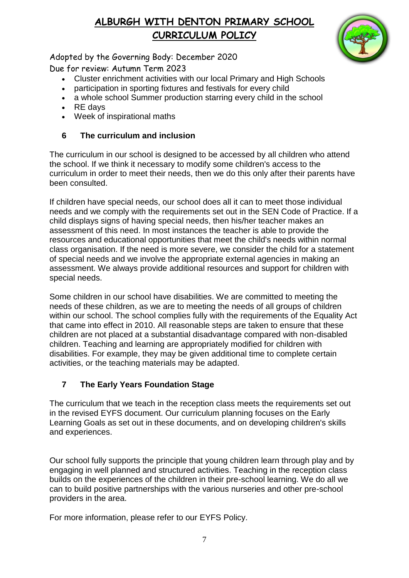

Adopted by the Governing Body: December 2020

Due for review: Autumn Term 2023

- Cluster enrichment activities with our local Primary and High Schools
- participation in sporting fixtures and festivals for every child
- a whole school Summer production starring every child in the school
- $\cdot$  RE days
- Week of inspirational maths

## **6 The curriculum and inclusion**

The curriculum in our school is designed to be accessed by all children who attend the school. If we think it necessary to modify some children's access to the curriculum in order to meet their needs, then we do this only after their parents have been consulted.

If children have special needs, our school does all it can to meet those individual needs and we comply with the requirements set out in the SEN Code of Practice. If a child displays signs of having special needs, then his/her teacher makes an assessment of this need. In most instances the teacher is able to provide the resources and educational opportunities that meet the child's needs within normal class organisation. If the need is more severe, we consider the child for a statement of special needs and we involve the appropriate external agencies in making an assessment. We always provide additional resources and support for children with special needs.

Some children in our school have disabilities. We are committed to meeting the needs of these children, as we are to meeting the needs of all groups of children within our school. The school complies fully with the requirements of the Equality Act that came into effect in 2010. All reasonable steps are taken to ensure that these children are not placed at a substantial disadvantage compared with non-disabled children. Teaching and learning are appropriately modified for children with disabilities. For example, they may be given additional time to complete certain activities, or the teaching materials may be adapted.

# **7 The Early Years Foundation Stage**

The curriculum that we teach in the reception class meets the requirements set out in the revised EYFS document. Our curriculum planning focuses on the Early Learning Goals as set out in these documents, and on developing children's skills and experiences.

Our school fully supports the principle that young children learn through play and by engaging in well planned and structured activities. Teaching in the reception class builds on the experiences of the children in their pre-school learning. We do all we can to build positive partnerships with the various nurseries and other pre-school providers in the area.

For more information, please refer to our EYFS Policy.